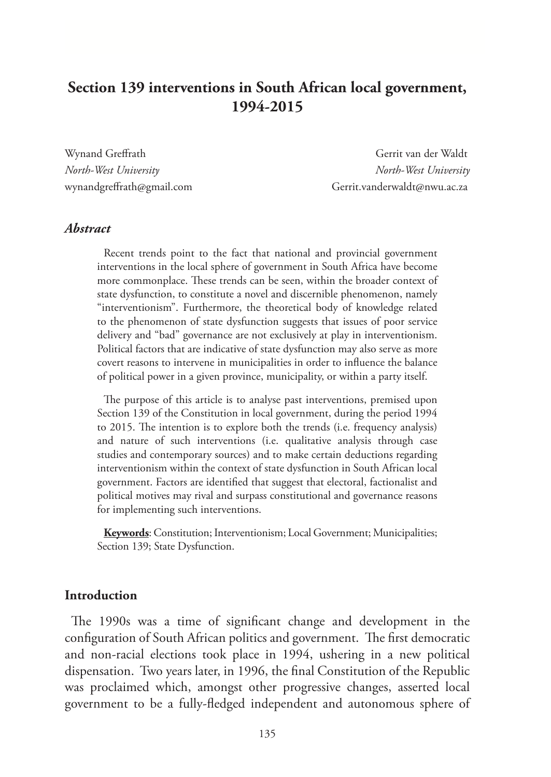# **Section 139 interventions in South African local government, 1994-2015**

Wynand Greffrath Gerrit van der Waldt *North-West University North-West University* wynandgreffrath@gmail.com Gerrit.vanderwaldt@nwu.ac.za

#### *Abstract*

Recent trends point to the fact that national and provincial government interventions in the local sphere of government in South Africa have become more commonplace. These trends can be seen, within the broader context of state dysfunction, to constitute a novel and discernible phenomenon, namely "interventionism". Furthermore, the theoretical body of knowledge related to the phenomenon of state dysfunction suggests that issues of poor service delivery and "bad" governance are not exclusively at play in interventionism. Political factors that are indicative of state dysfunction may also serve as more covert reasons to intervene in municipalities in order to influence the balance of political power in a given province, municipality, or within a party itself.

The purpose of this article is to analyse past interventions, premised upon Section 139 of the Constitution in local government, during the period 1994 to 2015. The intention is to explore both the trends (i.e. frequency analysis) and nature of such interventions (i.e. qualitative analysis through case studies and contemporary sources) and to make certain deductions regarding interventionism within the context of state dysfunction in South African local government. Factors are identified that suggest that electoral, factionalist and political motives may rival and surpass constitutional and governance reasons for implementing such interventions.

**Keywords**: Constitution; Interventionism; Local Government; Municipalities; Section 139; State Dysfunction.

#### **Introduction**

The 1990s was a time of significant change and development in the configuration of South African politics and government. The first democratic and non-racial elections took place in 1994, ushering in a new political dispensation. Two years later, in 1996, the final Constitution of the Republic was proclaimed which, amongst other progressive changes, asserted local government to be a fully-fledged independent and autonomous sphere of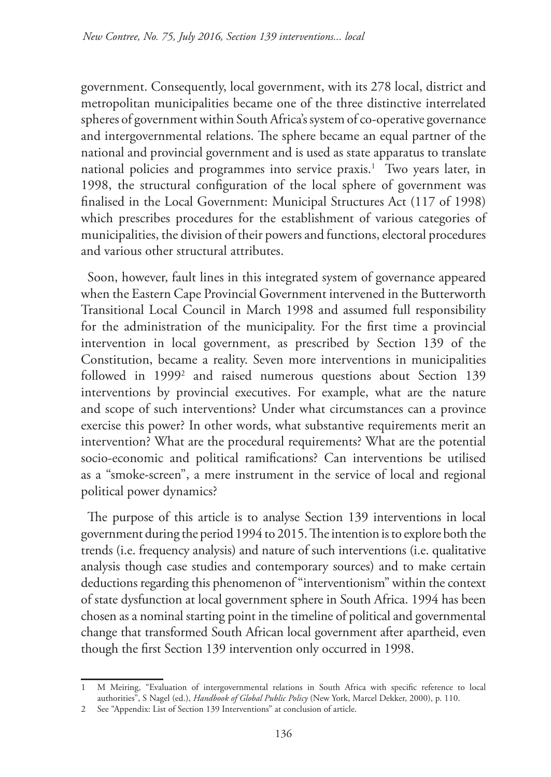government. Consequently, local government, with its 278 local, district and metropolitan municipalities became one of the three distinctive interrelated spheres of government within South Africa's system of co-operative governance and intergovernmental relations. The sphere became an equal partner of the national and provincial government and is used as state apparatus to translate national policies and programmes into service praxis.<sup>1</sup> Two years later, in 1998, the structural configuration of the local sphere of government was finalised in the Local Government: Municipal Structures Act (117 of 1998) which prescribes procedures for the establishment of various categories of municipalities, the division of their powers and functions, electoral procedures and various other structural attributes.

Soon, however, fault lines in this integrated system of governance appeared when the Eastern Cape Provincial Government intervened in the Butterworth Transitional Local Council in March 1998 and assumed full responsibility for the administration of the municipality. For the first time a provincial intervention in local government, as prescribed by Section 139 of the Constitution, became a reality. Seven more interventions in municipalities followed in 1999<sup>2</sup> and raised numerous questions about Section 139 interventions by provincial executives. For example, what are the nature and scope of such interventions? Under what circumstances can a province exercise this power? In other words, what substantive requirements merit an intervention? What are the procedural requirements? What are the potential socio-economic and political ramifications? Can interventions be utilised as a "smoke-screen", a mere instrument in the service of local and regional political power dynamics?

The purpose of this article is to analyse Section 139 interventions in local government during the period 1994 to 2015. The intention is to explore both the trends (i.e. frequency analysis) and nature of such interventions (i.e. qualitative analysis though case studies and contemporary sources) and to make certain deductions regarding this phenomenon of "interventionism" within the context of state dysfunction at local government sphere in South Africa. 1994 has been chosen as a nominal starting point in the timeline of political and governmental change that transformed South African local government after apartheid, even though the first Section 139 intervention only occurred in 1998.

<sup>1</sup> M Meiring, "Evaluation of intergovernmental relations in South Africa with specific reference to local authorities", S Nagel (ed.), *Handbook of Global Public Policy* (New York, Marcel Dekker, 2000), p. 110.

<sup>2</sup> See "Appendix: List of Section 139 Interventions" at conclusion of article.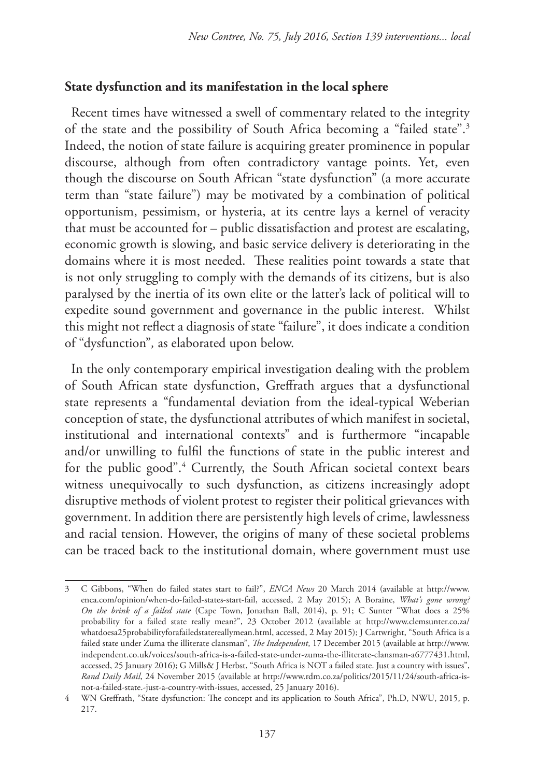### **State dysfunction and its manifestation in the local sphere**

Recent times have witnessed a swell of commentary related to the integrity of the state and the possibility of South Africa becoming a "failed state".3 Indeed, the notion of state failure is acquiring greater prominence in popular discourse, although from often contradictory vantage points. Yet, even though the discourse on South African "state dysfunction" (a more accurate term than "state failure") may be motivated by a combination of political opportunism, pessimism, or hysteria, at its centre lays a kernel of veracity that must be accounted for – public dissatisfaction and protest are escalating, economic growth is slowing, and basic service delivery is deteriorating in the domains where it is most needed. These realities point towards a state that is not only struggling to comply with the demands of its citizens, but is also paralysed by the inertia of its own elite or the latter's lack of political will to expedite sound government and governance in the public interest. Whilst this might not reflect a diagnosis of state "failure", it does indicate a condition of "dysfunction"*,* as elaborated upon below.

In the only contemporary empirical investigation dealing with the problem of South African state dysfunction, Greffrath argues that a dysfunctional state represents a "fundamental deviation from the ideal-typical Weberian conception of state, the dysfunctional attributes of which manifest in societal, institutional and international contexts" and is furthermore "incapable and/or unwilling to fulfil the functions of state in the public interest and for the public good".<sup>4</sup> Currently, the South African societal context bears witness unequivocally to such dysfunction, as citizens increasingly adopt disruptive methods of violent protest to register their political grievances with government. In addition there are persistently high levels of crime, lawlessness and racial tension. However, the origins of many of these societal problems can be traced back to the institutional domain, where government must use

<sup>3</sup> C Gibbons, "When do failed states start to fail?", *ENCA News* 20 March 2014 (available at http://www. enca.com/opinion/when-do-failed-states-start-fail, accessed, 2 May 2015); A Boraine, *What's gone wrong? On the brink of a failed state* (Cape Town, Jonathan Ball, 2014), p. 91; C Sunter "What does a 25% probability for a failed state really mean?", 23 October 2012 (available at http://www.clemsunter.co.za/ whatdoesa25probabilityforafailedstatereallymean.html, accessed, 2 May 2015); J Cartwright, "South Africa is a failed state under Zuma the illiterate clansman", *The Independent*, 17 December 2015 (available at http://www. independent.co.uk/voices/south-africa-is-a-failed-state-under-zuma-the-illiterate-clansman-a6777431.html, accessed, 25 January 2016); G Mills& J Herbst, "South Africa is NOT a failed state. Just a country with issues", *Rand Daily Mail*, 24 November 2015 (available at http://www.rdm.co.za/politics/2015/11/24/south-africa-isnot-a-failed-state.-just-a-country-with-issues, accessed, 25 January 2016).

<sup>4</sup> WN Greffrath, "State dysfunction: The concept and its application to South Africa", Ph.D, NWU, 2015, p. 217.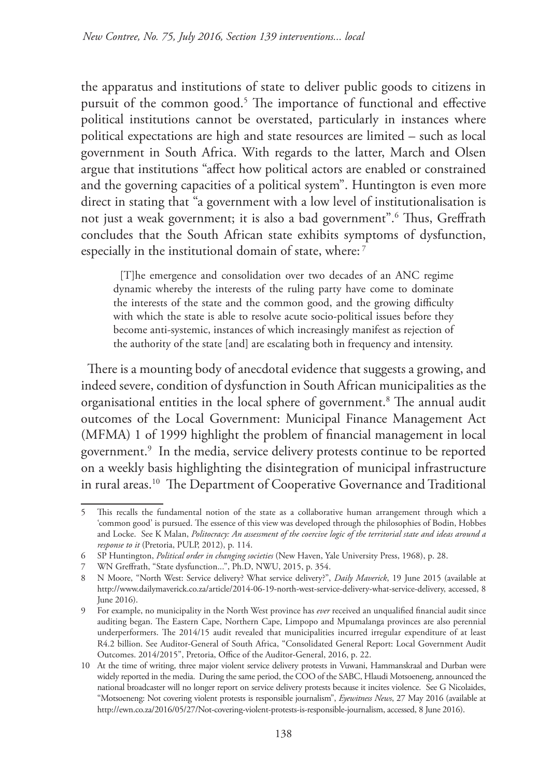the apparatus and institutions of state to deliver public goods to citizens in pursuit of the common good.5 The importance of functional and effective political institutions cannot be overstated, particularly in instances where political expectations are high and state resources are limited – such as local government in South Africa. With regards to the latter, March and Olsen argue that institutions "affect how political actors are enabled or constrained and the governing capacities of a political system". Huntington is even more direct in stating that "a government with a low level of institutionalisation is not just a weak government; it is also a bad government".6 Thus, Greffrath concludes that the South African state exhibits symptoms of dysfunction, especially in the institutional domain of state, where:<sup>7</sup>

[T]he emergence and consolidation over two decades of an ANC regime dynamic whereby the interests of the ruling party have come to dominate the interests of the state and the common good, and the growing difficulty with which the state is able to resolve acute socio-political issues before they become anti-systemic, instances of which increasingly manifest as rejection of the authority of the state [and] are escalating both in frequency and intensity.

There is a mounting body of anecdotal evidence that suggests a growing, and indeed severe, condition of dysfunction in South African municipalities as the organisational entities in the local sphere of government.8 The annual audit outcomes of the Local Government: Municipal Finance Management Act (MFMA) 1 of 1999 highlight the problem of financial management in local government.9 In the media, service delivery protests continue to be reported on a weekly basis highlighting the disintegration of municipal infrastructure in rural areas.<sup>10</sup> The Department of Cooperative Governance and Traditional

<sup>5</sup> This recalls the fundamental notion of the state as a collaborative human arrangement through which a 'common good' is pursued. The essence of this view was developed through the philosophies of Bodin, Hobbes and Locke. See K Malan, *Politocracy: An assessment of the coercive logic of the territorial state and ideas around a response to it* (Pretoria, PULP, 2012), p. 114.

<sup>6</sup> SP Huntington, *Political order in changing societies* (New Haven, Yale University Press, 1968), p. 28.

<sup>7</sup> WN Greffrath, "State dysfunction...", Ph.D, NWU, 2015, p. 354.

<sup>8</sup> N Moore, "North West: Service delivery? What service delivery?", *Daily Maverick*, 19 June 2015 (available at http://www.dailymaverick.co.za/article/2014-06-19-north-west-service-delivery-what-service-delivery, accessed, 8 June 2016).

<sup>9</sup> For example, no municipality in the North West province has *ever* received an unqualified financial audit since auditing began. The Eastern Cape, Northern Cape, Limpopo and Mpumalanga provinces are also perennial underperformers. The 2014/15 audit revealed that municipalities incurred irregular expenditure of at least R4.2 billion. See Auditor-General of South Africa, "Consolidated General Report: Local Government Audit Outcomes. 2014/2015", Pretoria, Office of the Auditor-General, 2016, p. 22.

<sup>10</sup> At the time of writing, three major violent service delivery protests in Vuwani, Hammanskraal and Durban were widely reported in the media. During the same period, the COO of the SABC, Hlaudi Motsoeneng, announced the national broadcaster will no longer report on service delivery protests because it incites violence. See G Nicolaides, "Motsoeneng: Not covering violent protests is responsible journalism", *Eyewitness News*, 27 May 2016 (available at http://ewn.co.za/2016/05/27/Not-covering-violent-protests-is-responsible-journalism, accessed, 8 June 2016).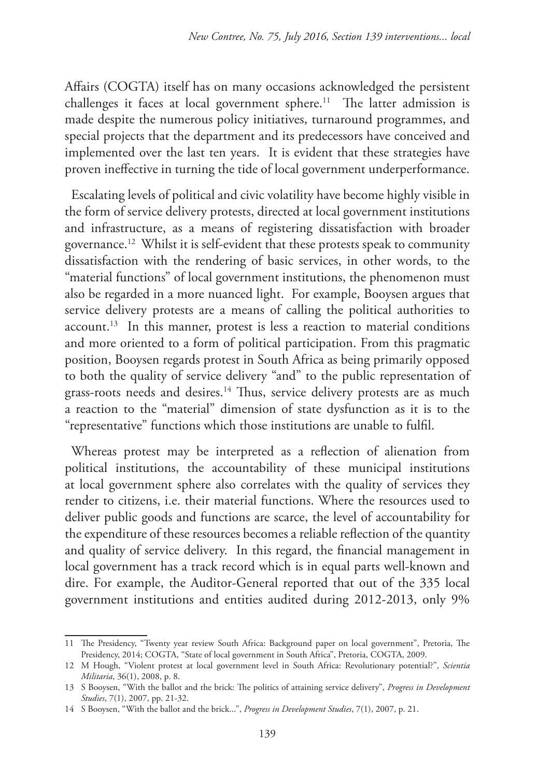Affairs (COGTA) itself has on many occasions acknowledged the persistent challenges it faces at local government sphere.<sup>11</sup> The latter admission is made despite the numerous policy initiatives, turnaround programmes, and special projects that the department and its predecessors have conceived and implemented over the last ten years. It is evident that these strategies have proven ineffective in turning the tide of local government underperformance.

Escalating levels of political and civic volatility have become highly visible in the form of service delivery protests, directed at local government institutions and infrastructure, as a means of registering dissatisfaction with broader governance.12 Whilst it is self-evident that these protests speak to community dissatisfaction with the rendering of basic services, in other words, to the "material functions" of local government institutions, the phenomenon must also be regarded in a more nuanced light. For example, Booysen argues that service delivery protests are a means of calling the political authorities to  $account<sup>13</sup>$  In this manner, protest is less a reaction to material conditions and more oriented to a form of political participation. From this pragmatic position, Booysen regards protest in South Africa as being primarily opposed to both the quality of service delivery "and" to the public representation of grass-roots needs and desires.<sup>14</sup> Thus, service delivery protests are as much a reaction to the "material" dimension of state dysfunction as it is to the "representative" functions which those institutions are unable to fulfil.

Whereas protest may be interpreted as a reflection of alienation from political institutions, the accountability of these municipal institutions at local government sphere also correlates with the quality of services they render to citizens, i.e. their material functions. Where the resources used to deliver public goods and functions are scarce, the level of accountability for the expenditure of these resources becomes a reliable reflection of the quantity and quality of service delivery. In this regard, the financial management in local government has a track record which is in equal parts well-known and dire. For example, the Auditor-General reported that out of the 335 local government institutions and entities audited during 2012-2013, only 9%

<sup>11</sup> The Presidency, "Twenty year review South Africa: Background paper on local government", Pretoria, The Presidency, 2014; COGTA, "State of local government in South Africa", Pretoria, COGTA, 2009.

<sup>12</sup> M Hough, "Violent protest at local government level in South Africa: Revolutionary potential?", *Scientia Militaria*, 36(1), 2008, p. 8.

<sup>13</sup> S Booysen, "With the ballot and the brick: The politics of attaining service delivery", *Progress in Development Studies*, 7(1), 2007, pp. 21-32.

<sup>14</sup> S Booysen, "With the ballot and the brick...", *Progress in Development Studies*, 7(1), 2007, p. 21.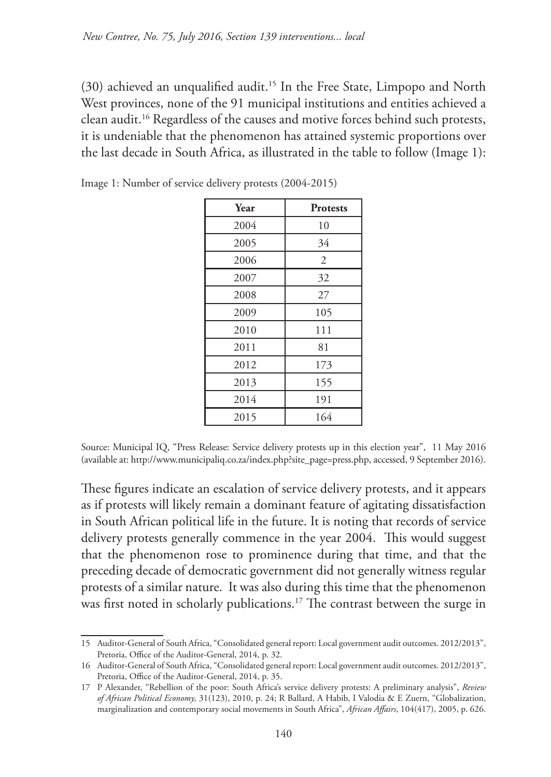(30) achieved an unqualified audit.15 In the Free State, Limpopo and North West provinces, none of the 91 municipal institutions and entities achieved a clean audit.16 Regardless of the causes and motive forces behind such protests, it is undeniable that the phenomenon has attained systemic proportions over the last decade in South Africa, as illustrated in the table to follow (Image 1):

| Year | <b>Protests</b> |
|------|-----------------|
| 2004 | 10              |
| 2005 | 34              |
| 2006 | 2               |
| 2007 | 32              |
| 2008 | 27              |
| 2009 | 105             |
| 2010 | 111             |
| 2011 | 81              |
| 2012 | 173             |
| 2013 | 155             |
| 2014 | 191             |
| 2015 | 164             |

Image 1: Number of service delivery protests (2004-2015)

Source: Municipal IQ, "Press Release: Service delivery protests up in this election year", 11 May 2016 (available at: http://www.municipaliq.co.za/index.php?site\_page=press.php, accessed, 9 September 2016).

These figures indicate an escalation of service delivery protests, and it appears as if protests will likely remain a dominant feature of agitating dissatisfaction in South African political life in the future. It is noting that records of service delivery protests generally commence in the year 2004. This would suggest that the phenomenon rose to prominence during that time, and that the preceding decade of democratic government did not generally witness regular protests of a similar nature. It was also during this time that the phenomenon was first noted in scholarly publications.<sup>17</sup> The contrast between the surge in

<sup>15</sup> Auditor-General of South Africa, "Consolidated general report: Local government audit outcomes. 2012/2013", Pretoria, Office of the Auditor-General, 2014, p. 32.

<sup>16</sup> Auditor-General of South Africa, "Consolidated general report: Local government audit outcomes. 2012/2013", Pretoria, Office of the Auditor-General, 2014, p. 35.

<sup>17</sup> P Alexander, "Rebellion of the poor: South Africa's service delivery protests: A preliminary analysis", *Review of African Political Economy*, 31(123), 2010, p. 24; R Ballard, A Habib, I Valodia & E Zuern, "Globalization, marginalization and contemporary social movements in South Africa", *African Affairs*, 104(417), 2005, p. 626.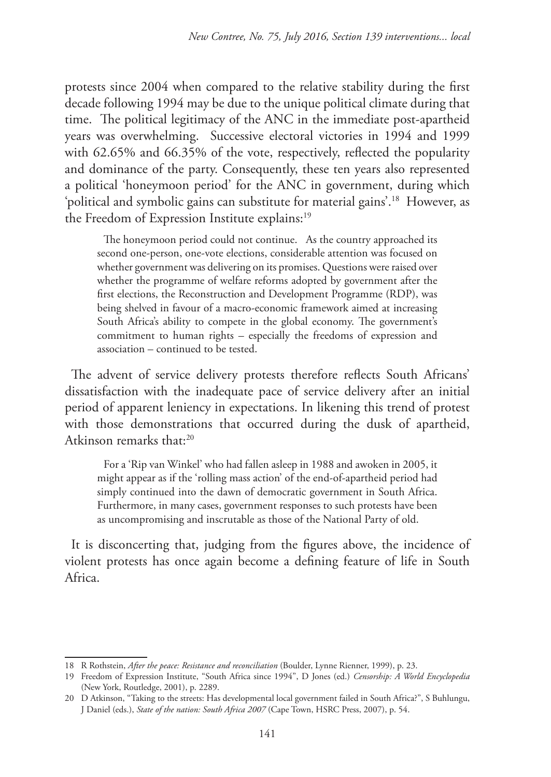protests since 2004 when compared to the relative stability during the first decade following 1994 may be due to the unique political climate during that time. The political legitimacy of the ANC in the immediate post-apartheid years was overwhelming. Successive electoral victories in 1994 and 1999 with 62.65% and 66.35% of the vote, respectively, reflected the popularity and dominance of the party. Consequently, these ten years also represented a political 'honeymoon period' for the ANC in government, during which 'political and symbolic gains can substitute for material gains'.18 However, as the Freedom of Expression Institute explains:<sup>19</sup>

The honeymoon period could not continue. As the country approached its second one-person, one-vote elections, considerable attention was focused on whether government was delivering on its promises. Questions were raised over whether the programme of welfare reforms adopted by government after the first elections, the Reconstruction and Development Programme (RDP), was being shelved in favour of a macro-economic framework aimed at increasing South Africa's ability to compete in the global economy. The government's commitment to human rights – especially the freedoms of expression and association – continued to be tested.

The advent of service delivery protests therefore reflects South Africans' dissatisfaction with the inadequate pace of service delivery after an initial period of apparent leniency in expectations. In likening this trend of protest with those demonstrations that occurred during the dusk of apartheid, Atkinson remarks that:<sup>20</sup>

For a 'Rip van Winkel' who had fallen asleep in 1988 and awoken in 2005, it might appear as if the 'rolling mass action' of the end-of-apartheid period had simply continued into the dawn of democratic government in South Africa. Furthermore, in many cases, government responses to such protests have been as uncompromising and inscrutable as those of the National Party of old.

It is disconcerting that, judging from the figures above, the incidence of violent protests has once again become a defining feature of life in South Africa.

<sup>18</sup> R Rothstein, *After the peace: Resistance and reconciliation* (Boulder, Lynne Rienner, 1999), p. 23.

<sup>19</sup> Freedom of Expression Institute, "South Africa since 1994", D Jones (ed.) *Censorship: A World Encyclopedia* (New York, Routledge, 2001), p. 2289.

<sup>20</sup> D Atkinson, "Taking to the streets: Has developmental local government failed in South Africa?", S Buhlungu, J Daniel (eds.), *State of the nation: South Africa 2007* (Cape Town, HSRC Press, 2007), p. 54.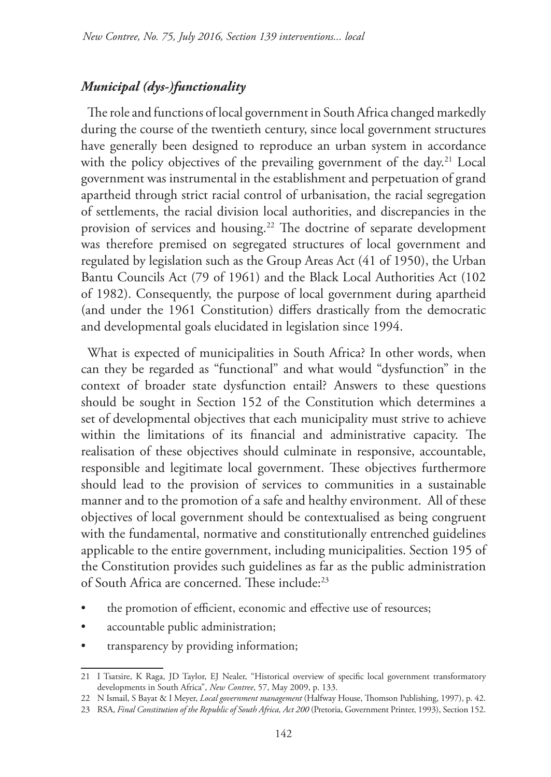# *Municipal (dys-)functionality*

The role and functions of local government in South Africa changed markedly during the course of the twentieth century, since local government structures have generally been designed to reproduce an urban system in accordance with the policy objectives of the prevailing government of the day.<sup>21</sup> Local government was instrumental in the establishment and perpetuation of grand apartheid through strict racial control of urbanisation, the racial segregation of settlements, the racial division local authorities, and discrepancies in the provision of services and housing.22 The doctrine of separate development was therefore premised on segregated structures of local government and regulated by legislation such as the Group Areas Act (41 of 1950), the Urban Bantu Councils Act (79 of 1961) and the Black Local Authorities Act (102 of 1982). Consequently, the purpose of local government during apartheid (and under the 1961 Constitution) differs drastically from the democratic and developmental goals elucidated in legislation since 1994.

What is expected of municipalities in South Africa? In other words, when can they be regarded as "functional" and what would "dysfunction" in the context of broader state dysfunction entail? Answers to these questions should be sought in Section 152 of the Constitution which determines a set of developmental objectives that each municipality must strive to achieve within the limitations of its financial and administrative capacity. The realisation of these objectives should culminate in responsive, accountable, responsible and legitimate local government. These objectives furthermore should lead to the provision of services to communities in a sustainable manner and to the promotion of a safe and healthy environment. All of these objectives of local government should be contextualised as being congruent with the fundamental, normative and constitutionally entrenched guidelines applicable to the entire government, including municipalities. Section 195 of the Constitution provides such guidelines as far as the public administration of South Africa are concerned. These include:23

- the promotion of efficient, economic and effective use of resources;
- accountable public administration;
- transparency by providing information;

<sup>21</sup> I Tsatsire, K Raga, JD Taylor, EJ Nealer, "Historical overview of specific local government transformatory developments in South Africa", *New Contree*, 57, May 2009, p. 133.

<sup>22</sup> N Ismail, S Bayat & I Meyer, *Local government management* (Halfway House, Thomson Publishing, 1997), p. 42.

<sup>23</sup> RSA, *Final Constitution of the Republic of South Africa, Act 200* (Pretoria, Government Printer, 1993), Section 152.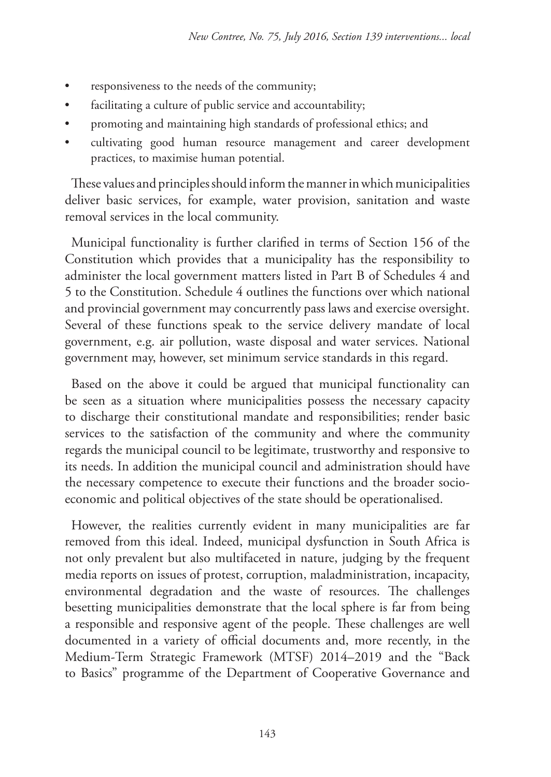- responsiveness to the needs of the community;
- facilitating a culture of public service and accountability;
- promoting and maintaining high standards of professional ethics; and
- cultivating good human resource management and career development practices, to maximise human potential.

These values and principles should inform the manner in which municipalities deliver basic services, for example, water provision, sanitation and waste removal services in the local community.

Municipal functionality is further clarified in terms of Section 156 of the Constitution which provides that a municipality has the responsibility to administer the local government matters listed in Part B of Schedules 4 and 5 to the Constitution. Schedule 4 outlines the functions over which national and provincial government may concurrently pass laws and exercise oversight. Several of these functions speak to the service delivery mandate of local government, e.g. air pollution, waste disposal and water services. National government may, however, set minimum service standards in this regard.

Based on the above it could be argued that municipal functionality can be seen as a situation where municipalities possess the necessary capacity to discharge their constitutional mandate and responsibilities; render basic services to the satisfaction of the community and where the community regards the municipal council to be legitimate, trustworthy and responsive to its needs. In addition the municipal council and administration should have the necessary competence to execute their functions and the broader socioeconomic and political objectives of the state should be operationalised.

However, the realities currently evident in many municipalities are far removed from this ideal. Indeed, municipal dysfunction in South Africa is not only prevalent but also multifaceted in nature, judging by the frequent media reports on issues of protest, corruption, maladministration, incapacity, environmental degradation and the waste of resources. The challenges besetting municipalities demonstrate that the local sphere is far from being a responsible and responsive agent of the people. These challenges are well documented in a variety of official documents and, more recently, in the Medium-Term Strategic Framework (MTSF) 2014–2019 and the "Back to Basics" programme of the Department of Cooperative Governance and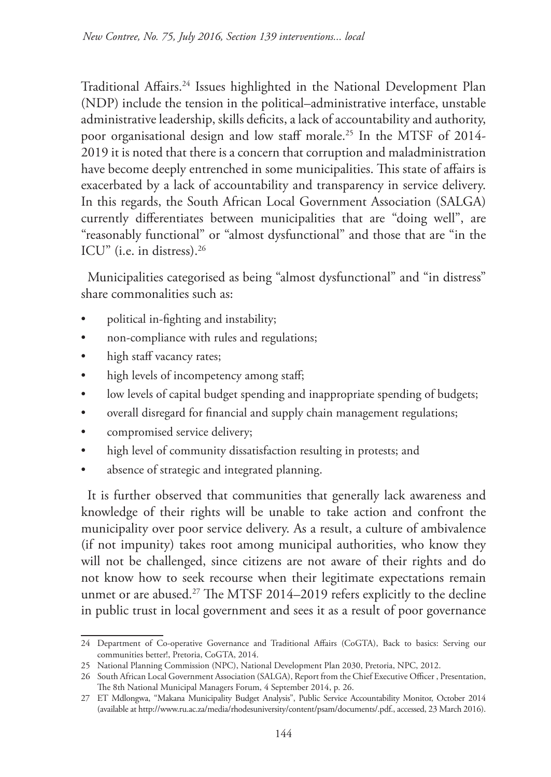Traditional Affairs.24 Issues highlighted in the National Development Plan (NDP) include the tension in the political–administrative interface, unstable administrative leadership, skills deficits, a lack of accountability and authority, poor organisational design and low staff morale.25 In the MTSF of 2014- 2019 it is noted that there is a concern that corruption and maladministration have become deeply entrenched in some municipalities. This state of affairs is exacerbated by a lack of accountability and transparency in service delivery. In this regards, the South African Local Government Association (SALGA) currently differentiates between municipalities that are "doing well", are "reasonably functional" or "almost dysfunctional" and those that are "in the ICU" (i.e. in distress).<sup>26</sup>

Municipalities categorised as being "almost dysfunctional" and "in distress" share commonalities such as:

- political in-fighting and instability;
- non-compliance with rules and regulations;
- high staff vacancy rates;
- high levels of incompetency among staff;
- low levels of capital budget spending and inappropriate spending of budgets;
- overall disregard for financial and supply chain management regulations;
- compromised service delivery;
- high level of community dissatisfaction resulting in protests; and
- absence of strategic and integrated planning.

It is further observed that communities that generally lack awareness and knowledge of their rights will be unable to take action and confront the municipality over poor service delivery. As a result, a culture of ambivalence (if not impunity) takes root among municipal authorities, who know they will not be challenged, since citizens are not aware of their rights and do not know how to seek recourse when their legitimate expectations remain unmet or are abused.<sup>27</sup> The MTSF 2014–2019 refers explicitly to the decline in public trust in local government and sees it as a result of poor governance

<sup>24</sup> Department of Co-operative Governance and Traditional Affairs (CoGTA), Back to basics: Serving our communities better!, Pretoria, CoGTA, 2014.

<sup>25</sup> National Planning Commission (NPC), National Development Plan 2030, Pretoria, NPC, 2012.

<sup>26</sup> South African Local Government Association (SALGA), Report from the Chief Executive Officer , Presentation, The 8th National Municipal Managers Forum, 4 September 2014, p. 26.

<sup>27</sup> ET Mdlongwa, "Makana Municipality Budget Analysis", Public Service Accountability Monitor, October 2014 (available at http://www.ru.ac.za/media/rhodesuniversity/content/psam/documents/.pdf., accessed, 23 March 2016).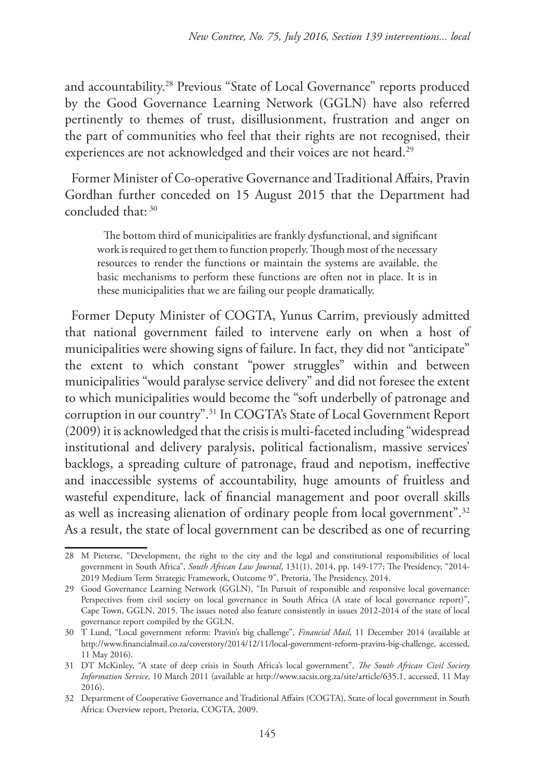and accountability.28 Previous "State of Local Governance" reports produced by the Good Governance Learning Network (GGLN) have also referred pertinently to themes of trust, disillusionment, frustration and anger on the part of communities who feel that their rights are not recognised, their experiences are not acknowledged and their voices are not heard.<sup>29</sup>

Former Minister of Co-operative Governance and Traditional Affairs, Pravin Gordhan further conceded on 15 August 2015 that the Department had concluded that: 30

The bottom third of municipalities are frankly dysfunctional, and significant work is required to get them to function properly. Though most of the necessary resources to render the functions or maintain the systems are available, the basic mechanisms to perform these functions are often not in place. It is in these municipalities that we are failing our people dramatically.

Former Deputy Minister of COGTA, Yunus Carrim, previously admitted that national government failed to intervene early on when a host of municipalities were showing signs of failure. In fact, they did not "anticipate" the extent to which constant "power struggles" within and between municipalities "would paralyse service delivery" and did not foresee the extent to which municipalities would become the "soft underbelly of patronage and corruption in our country".31 In COGTA's State of Local Government Report (2009) it is acknowledged that the crisis is multi-faceted including "widespread institutional and delivery paralysis, political factionalism, massive services' backlogs, a spreading culture of patronage, fraud and nepotism, ineffective and inaccessible systems of accountability, huge amounts of fruitless and wasteful expenditure, lack of financial management and poor overall skills as well as increasing alienation of ordinary people from local government".<sup>32</sup> As a result, the state of local government can be described as one of recurring

<sup>28</sup> M Pieterse, "Development, the right to the city and the legal and constitutional responsibilities of local government in South Africa", *South African Law Journal*, 131(1), 2014, pp. 149-177; The Presidency, "2014- 2019 Medium Term Strategic Framework, Outcome 9", Pretoria, The Presidency, 2014.

<sup>29</sup> Good Governance Learning Network (GGLN), "In Pursuit of responsible and responsive local governance: Perspectives from civil society on local governance in South Africa (A state of local governance report)", Cape Town, GGLN, 2015. The issues noted also feature consistently in issues 2012-2014 of the state of local governance report compiled by the GGLN.

<sup>30</sup> T Lund, "Local government reform: Pravin's big challenge", *Financial Mail*, 11 December 2014 (available at http://www.financialmail.co.za/coverstory/2014/12/11/local-government-reform-pravins-big-challenge, accessed, 11 May 2016).

<sup>31</sup> DT McKinley, "A state of deep crisis in South Africa's local government", *The South African Civil Society Information Service*, 10 March 2011 (available at http://www.sacsis.org.za/site/article/635.1, accessed, 11 May 2016).

<sup>32</sup> Department of Cooperative Governance and Traditional Affairs (COGTA), State of local government in South Africa: Overview report, Pretoria, COGTA, 2009.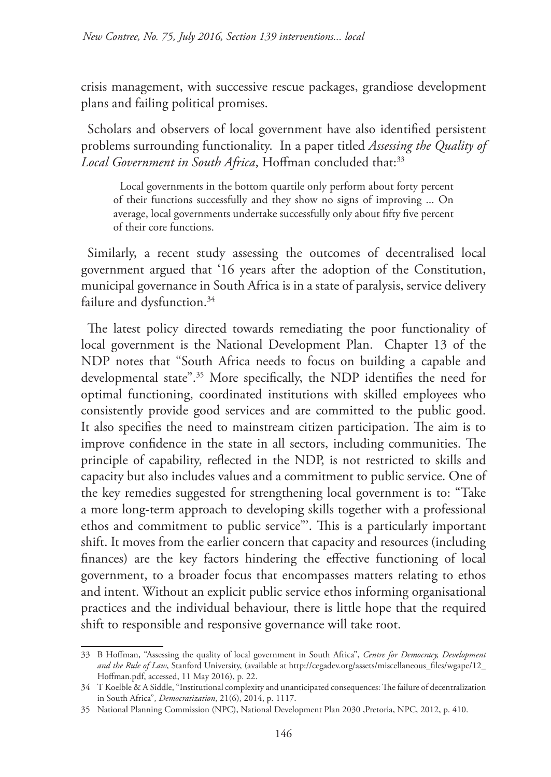crisis management, with successive rescue packages, grandiose development plans and failing political promises.

Scholars and observers of local government have also identified persistent problems surrounding functionality. In a paper titled *Assessing the Quality of*  Local Government in South Africa, Hoffman concluded that:<sup>33</sup>

Local governments in the bottom quartile only perform about forty percent of their functions successfully and they show no signs of improving ... On average, local governments undertake successfully only about fifty five percent of their core functions.

Similarly, a recent study assessing the outcomes of decentralised local government argued that '16 years after the adoption of the Constitution, municipal governance in South Africa is in a state of paralysis, service delivery failure and dysfunction.<sup>34</sup>

The latest policy directed towards remediating the poor functionality of local government is the National Development Plan. Chapter 13 of the NDP notes that "South Africa needs to focus on building a capable and developmental state".35 More specifically, the NDP identifies the need for optimal functioning, coordinated institutions with skilled employees who consistently provide good services and are committed to the public good. It also specifies the need to mainstream citizen participation. The aim is to improve confidence in the state in all sectors, including communities. The principle of capability, reflected in the NDP, is not restricted to skills and capacity but also includes values and a commitment to public service. One of the key remedies suggested for strengthening local government is to: "Take a more long-term approach to developing skills together with a professional ethos and commitment to public service"'. This is a particularly important shift. It moves from the earlier concern that capacity and resources (including finances) are the key factors hindering the effective functioning of local government, to a broader focus that encompasses matters relating to ethos and intent. Without an explicit public service ethos informing organisational practices and the individual behaviour, there is little hope that the required shift to responsible and responsive governance will take root.

<sup>33</sup> B Hoffman, "Assessing the quality of local government in South Africa", *Centre for Democracy, Development and the Rule of Law*, Stanford University, (available at http://cegadev.org/assets/miscellaneous\_files/wgape/12\_ Hoffman.pdf, accessed, 11 May 2016), p. 22.

<sup>34</sup> T Koelble & A Siddle, "Institutional complexity and unanticipated consequences: The failure of decentralization in South Africa", *Democratization*, 21(6), 2014, p. 1117.

<sup>35</sup> National Planning Commission (NPC), National Development Plan 2030 ,Pretoria, NPC, 2012, p. 410.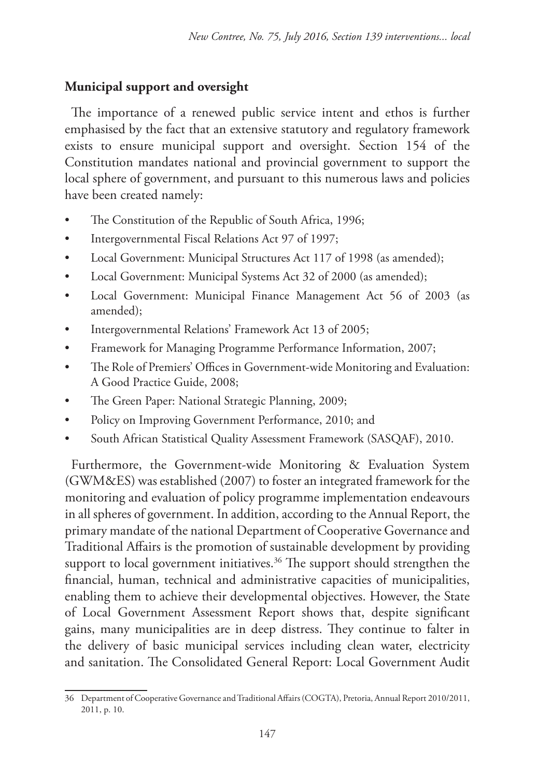# **Municipal support and oversight**

The importance of a renewed public service intent and ethos is further emphasised by the fact that an extensive statutory and regulatory framework exists to ensure municipal support and oversight. Section 154 of the Constitution mandates national and provincial government to support the local sphere of government, and pursuant to this numerous laws and policies have been created namely:

- The Constitution of the Republic of South Africa, 1996;
- Intergovernmental Fiscal Relations Act 97 of 1997;
- Local Government: Municipal Structures Act 117 of 1998 (as amended);
- Local Government: Municipal Systems Act 32 of 2000 (as amended);
- Local Government: Municipal Finance Management Act 56 of 2003 (as amended);
- Intergovernmental Relations' Framework Act 13 of 2005;
- Framework for Managing Programme Performance Information, 2007;
- The Role of Premiers' Offices in Government-wide Monitoring and Evaluation: A Good Practice Guide, 2008;
- The Green Paper: National Strategic Planning, 2009;
- Policy on Improving Government Performance, 2010; and
- South African Statistical Quality Assessment Framework (SASQAF), 2010.

Furthermore, the Government-wide Monitoring & Evaluation System (GWM&ES) was established (2007) to foster an integrated framework for the monitoring and evaluation of policy programme implementation endeavours in all spheres of government. In addition, according to the Annual Report, the primary mandate of the national Department of Cooperative Governance and Traditional Affairs is the promotion of sustainable development by providing support to local government initiatives.<sup>36</sup> The support should strengthen the financial, human, technical and administrative capacities of municipalities, enabling them to achieve their developmental objectives. However, the State of Local Government Assessment Report shows that, despite significant gains, many municipalities are in deep distress. They continue to falter in the delivery of basic municipal services including clean water, electricity and sanitation. The Consolidated General Report: Local Government Audit

<sup>36</sup> Department of Cooperative Governance and Traditional Affairs (COGTA), Pretoria, Annual Report 2010/2011, 2011, p. 10.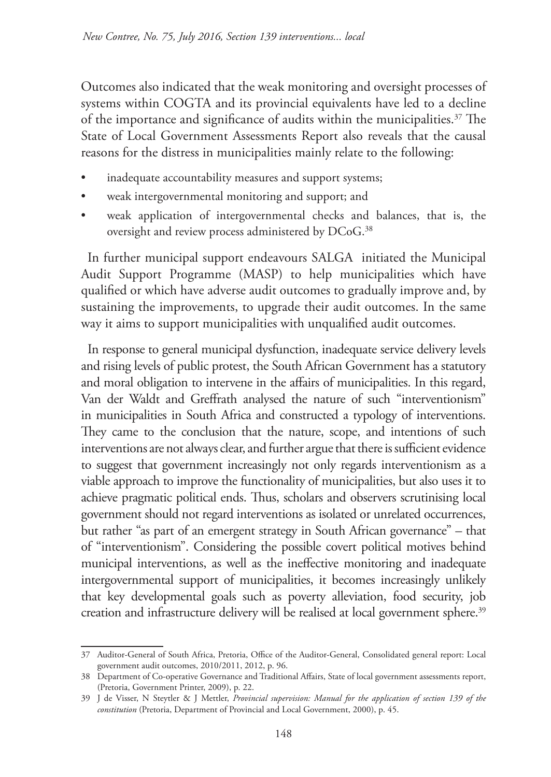Outcomes also indicated that the weak monitoring and oversight processes of systems within COGTA and its provincial equivalents have led to a decline of the importance and significance of audits within the municipalities.<sup>37</sup> The State of Local Government Assessments Report also reveals that the causal reasons for the distress in municipalities mainly relate to the following:

- inadequate accountability measures and support systems;
- weak intergovernmental monitoring and support; and
- weak application of intergovernmental checks and balances, that is, the oversight and review process administered by DCoG.<sup>38</sup>

In further municipal support endeavours SALGA initiated the Municipal Audit Support Programme (MASP) to help municipalities which have qualified or which have adverse audit outcomes to gradually improve and, by sustaining the improvements, to upgrade their audit outcomes. In the same way it aims to support municipalities with unqualified audit outcomes.

In response to general municipal dysfunction, inadequate service delivery levels and rising levels of public protest, the South African Government has a statutory and moral obligation to intervene in the affairs of municipalities. In this regard, Van der Waldt and Greffrath analysed the nature of such "interventionism" in municipalities in South Africa and constructed a typology of interventions. They came to the conclusion that the nature, scope, and intentions of such interventions are not always clear, and further argue that there is sufficient evidence to suggest that government increasingly not only regards interventionism as a viable approach to improve the functionality of municipalities, but also uses it to achieve pragmatic political ends. Thus, scholars and observers scrutinising local government should not regard interventions as isolated or unrelated occurrences, but rather "as part of an emergent strategy in South African governance" – that of "interventionism". Considering the possible covert political motives behind municipal interventions, as well as the ineffective monitoring and inadequate intergovernmental support of municipalities, it becomes increasingly unlikely that key developmental goals such as poverty alleviation, food security, job creation and infrastructure delivery will be realised at local government sphere.<sup>39</sup>

<sup>37</sup> Auditor-General of South Africa, Pretoria, Office of the Auditor-General, Consolidated general report: Local government audit outcomes, 2010/2011, 2012, p. 96.

<sup>38</sup> Department of Co-operative Governance and Traditional Affairs, State of local government assessments report, (Pretoria, Government Printer, 2009), p. 22.

<sup>39</sup> J de Visser, N Steytler & J Mettler, *Provincial supervision: Manual for the application of section 139 of the constitution* (Pretoria, Department of Provincial and Local Government, 2000), p. 45.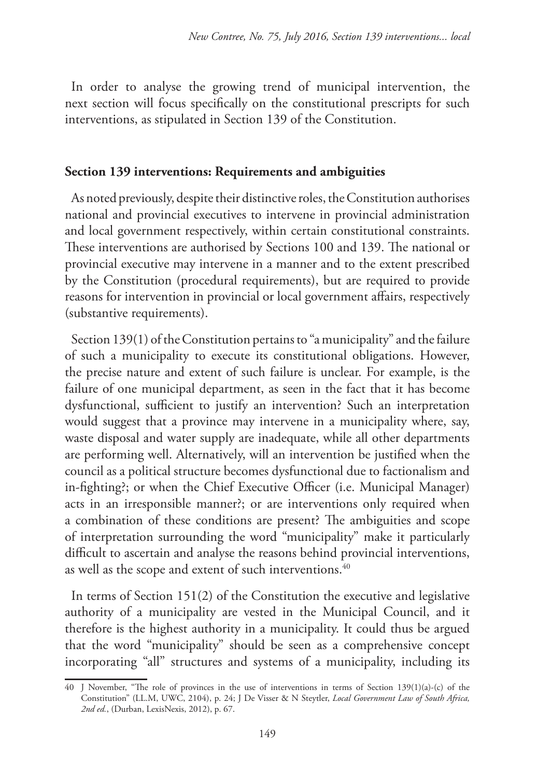In order to analyse the growing trend of municipal intervention, the next section will focus specifically on the constitutional prescripts for such interventions, as stipulated in Section 139 of the Constitution.

# **Section 139 interventions: Requirements and ambiguities**

As noted previously, despite their distinctive roles, the Constitution authorises national and provincial executives to intervene in provincial administration and local government respectively, within certain constitutional constraints. These interventions are authorised by Sections 100 and 139. The national or provincial executive may intervene in a manner and to the extent prescribed by the Constitution (procedural requirements), but are required to provide reasons for intervention in provincial or local government affairs, respectively (substantive requirements).

Section 139(1) of the Constitution pertains to "a municipality" and the failure of such a municipality to execute its constitutional obligations. However, the precise nature and extent of such failure is unclear. For example, is the failure of one municipal department, as seen in the fact that it has become dysfunctional, sufficient to justify an intervention? Such an interpretation would suggest that a province may intervene in a municipality where, say, waste disposal and water supply are inadequate, while all other departments are performing well. Alternatively, will an intervention be justified when the council as a political structure becomes dysfunctional due to factionalism and in-fighting?; or when the Chief Executive Officer (i.e. Municipal Manager) acts in an irresponsible manner?; or are interventions only required when a combination of these conditions are present? The ambiguities and scope of interpretation surrounding the word "municipality" make it particularly difficult to ascertain and analyse the reasons behind provincial interventions, as well as the scope and extent of such interventions.<sup>40</sup>

In terms of Section 151(2) of the Constitution the executive and legislative authority of a municipality are vested in the Municipal Council, and it therefore is the highest authority in a municipality. It could thus be argued that the word "municipality" should be seen as a comprehensive concept incorporating "all" structures and systems of a municipality, including its

<sup>40</sup> J November, "The role of provinces in the use of interventions in terms of Section 139(1)(a)-(c) of the Constitution" (LL.M, UWC, 2104), p. 24; J De Visser & N Steytler, *Local Government Law of South Africa, 2nd ed.*, (Durban, LexisNexis, 2012), p. 67.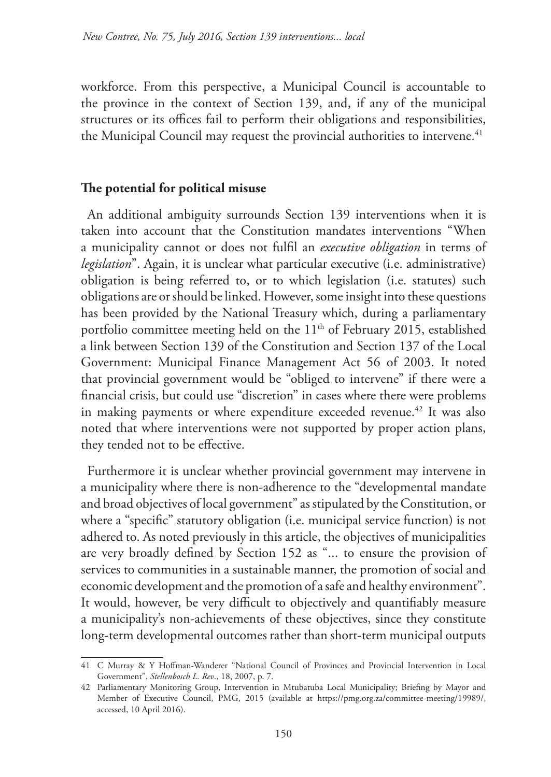workforce. From this perspective, a Municipal Council is accountable to the province in the context of Section 139, and, if any of the municipal structures or its offices fail to perform their obligations and responsibilities, the Municipal Council may request the provincial authorities to intervene.<sup>41</sup>

#### **The potential for political misuse**

An additional ambiguity surrounds Section 139 interventions when it is taken into account that the Constitution mandates interventions "When a municipality cannot or does not fulfil an *executive obligation* in terms of *legislation*". Again, it is unclear what particular executive (i.e. administrative) obligation is being referred to, or to which legislation (i.e. statutes) such obligations are or should be linked. However, some insight into these questions has been provided by the National Treasury which, during a parliamentary portfolio committee meeting held on the  $11<sup>th</sup>$  of February 2015, established a link between Section 139 of the Constitution and Section 137 of the Local Government: Municipal Finance Management Act 56 of 2003. It noted that provincial government would be "obliged to intervene" if there were a financial crisis, but could use "discretion" in cases where there were problems in making payments or where expenditure exceeded revenue.<sup>42</sup> It was also noted that where interventions were not supported by proper action plans, they tended not to be effective.

Furthermore it is unclear whether provincial government may intervene in a municipality where there is non-adherence to the "developmental mandate and broad objectives of local government" as stipulated by the Constitution, or where a "specific" statutory obligation (i.e. municipal service function) is not adhered to. As noted previously in this article, the objectives of municipalities are very broadly defined by Section 152 as "... to ensure the provision of services to communities in a sustainable manner, the promotion of social and economic development and the promotion of a safe and healthy environment". It would, however, be very difficult to objectively and quantifiably measure a municipality's non-achievements of these objectives, since they constitute long-term developmental outcomes rather than short-term municipal outputs

<sup>41</sup> C Murray & Y Hoffman-Wanderer "National Council of Provinces and Provincial Intervention in Local Government", *Stellenbosch L. Rev*., 18, 2007, p. 7.

<sup>42</sup> Parliamentary Monitoring Group, Intervention in Mtubatuba Local Municipality; Briefing by Mayor and Member of Executive Council, PMG, 2015 (available at https://pmg.org.za/committee-meeting/19989/, accessed, 10 April 2016).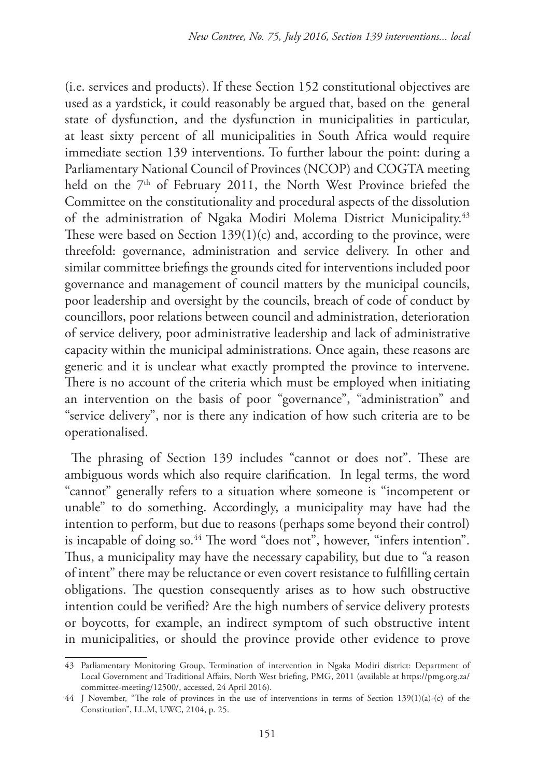(i.e. services and products). If these Section 152 constitutional objectives are used as a yardstick, it could reasonably be argued that, based on the general state of dysfunction, and the dysfunction in municipalities in particular, at least sixty percent of all municipalities in South Africa would require immediate section 139 interventions. To further labour the point: during a Parliamentary National Council of Provinces (NCOP) and COGTA meeting held on the 7<sup>th</sup> of February 2011, the North West Province briefed the Committee on the constitutionality and procedural aspects of the dissolution of the administration of Ngaka Modiri Molema District Municipality.<sup>43</sup> These were based on Section 139(1)(c) and, according to the province, were threefold: governance, administration and service delivery. In other and similar committee briefings the grounds cited for interventions included poor governance and management of council matters by the municipal councils, poor leadership and oversight by the councils, breach of code of conduct by councillors, poor relations between council and administration, deterioration of service delivery, poor administrative leadership and lack of administrative capacity within the municipal administrations. Once again, these reasons are generic and it is unclear what exactly prompted the province to intervene. There is no account of the criteria which must be employed when initiating an intervention on the basis of poor "governance", "administration" and "service delivery", nor is there any indication of how such criteria are to be operationalised.

The phrasing of Section 139 includes "cannot or does not". These are ambiguous words which also require clarification. In legal terms, the word "cannot" generally refers to a situation where someone is "incompetent or unable" to do something. Accordingly, a municipality may have had the intention to perform, but due to reasons (perhaps some beyond their control) is incapable of doing so.<sup>44</sup> The word "does not", however, "infers intention". Thus, a municipality may have the necessary capability, but due to "a reason of intent" there may be reluctance or even covert resistance to fulfilling certain obligations. The question consequently arises as to how such obstructive intention could be verified? Are the high numbers of service delivery protests or boycotts, for example, an indirect symptom of such obstructive intent in municipalities, or should the province provide other evidence to prove

<sup>43</sup> Parliamentary Monitoring Group, Termination of intervention in Ngaka Modiri district: Department of Local Government and Traditional Affairs, North West briefing, PMG, 2011 (available at https://pmg.org.za/ committee-meeting/12500/, accessed, 24 April 2016).

<sup>44</sup> J November, "The role of provinces in the use of interventions in terms of Section 139(1)(a)-(c) of the Constitution", LL.M, UWC, 2104, p. 25.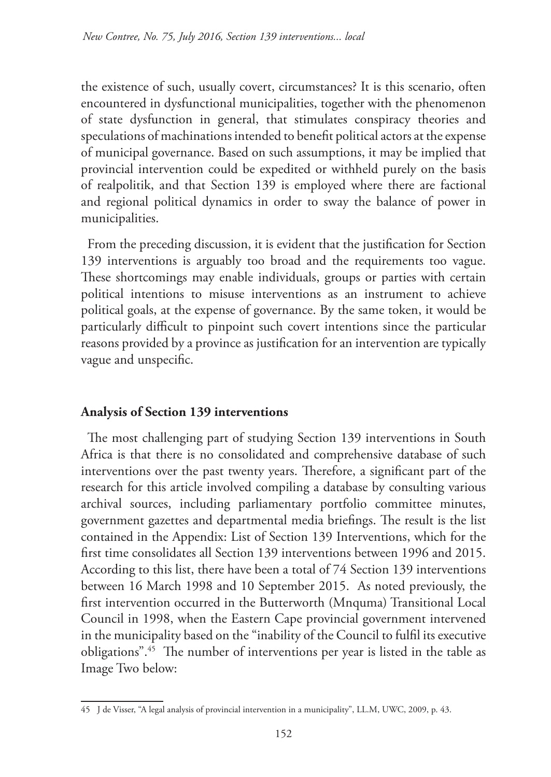the existence of such, usually covert, circumstances? It is this scenario, often encountered in dysfunctional municipalities, together with the phenomenon of state dysfunction in general, that stimulates conspiracy theories and speculations of machinations intended to benefit political actors at the expense of municipal governance. Based on such assumptions, it may be implied that provincial intervention could be expedited or withheld purely on the basis of realpolitik, and that Section 139 is employed where there are factional and regional political dynamics in order to sway the balance of power in municipalities.

From the preceding discussion, it is evident that the justification for Section 139 interventions is arguably too broad and the requirements too vague. These shortcomings may enable individuals, groups or parties with certain political intentions to misuse interventions as an instrument to achieve political goals, at the expense of governance. By the same token, it would be particularly difficult to pinpoint such covert intentions since the particular reasons provided by a province as justification for an intervention are typically vague and unspecific.

# **Analysis of Section 139 interventions**

The most challenging part of studying Section 139 interventions in South Africa is that there is no consolidated and comprehensive database of such interventions over the past twenty years. Therefore, a significant part of the research for this article involved compiling a database by consulting various archival sources, including parliamentary portfolio committee minutes, government gazettes and departmental media briefings. The result is the list contained in the Appendix: List of Section 139 Interventions, which for the first time consolidates all Section 139 interventions between 1996 and 2015. According to this list, there have been a total of 74 Section 139 interventions between 16 March 1998 and 10 September 2015. As noted previously, the first intervention occurred in the Butterworth (Mnquma) Transitional Local Council in 1998, when the Eastern Cape provincial government intervened in the municipality based on the "inability of the Council to fulfil its executive obligations".45 The number of interventions per year is listed in the table as Image Two below:

<sup>45</sup> J de Visser, "A legal analysis of provincial intervention in a municipality", LL.M, UWC, 2009, p. 43.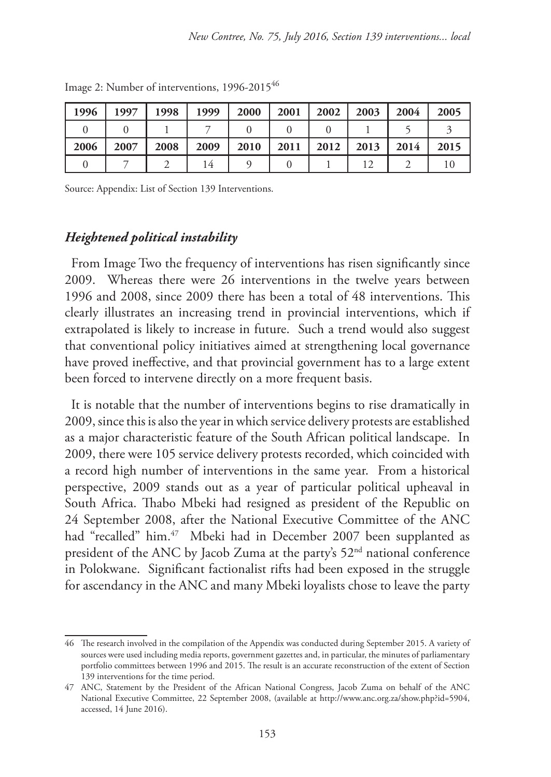| 1996 | 1997 | 1998 | 1999 | 2000 | 2001 | 2002 | 2003 | 2004 | 2005 |
|------|------|------|------|------|------|------|------|------|------|
|      |      |      |      |      |      |      |      |      |      |
| 2006 | 2007 | 2008 | 2009 | 2010 | 2011 | 2012 | 2013 | 2014 | 2015 |
|      |      |      |      |      |      |      |      |      |      |

Image 2: Number of interventions, 1996-2015<sup>46</sup>

Source: Appendix: List of Section 139 Interventions.

#### *Heightened political instability*

From Image Two the frequency of interventions has risen significantly since 2009. Whereas there were 26 interventions in the twelve years between 1996 and 2008, since 2009 there has been a total of 48 interventions. This clearly illustrates an increasing trend in provincial interventions, which if extrapolated is likely to increase in future. Such a trend would also suggest that conventional policy initiatives aimed at strengthening local governance have proved ineffective, and that provincial government has to a large extent been forced to intervene directly on a more frequent basis.

It is notable that the number of interventions begins to rise dramatically in 2009, since this is also the year in which service delivery protests are established as a major characteristic feature of the South African political landscape. In 2009, there were 105 service delivery protests recorded, which coincided with a record high number of interventions in the same year. From a historical perspective, 2009 stands out as a year of particular political upheaval in South Africa. Thabo Mbeki had resigned as president of the Republic on 24 September 2008, after the National Executive Committee of the ANC had "recalled" him.<sup>47</sup> Mbeki had in December 2007 been supplanted as president of the ANC by Jacob Zuma at the party's 52<sup>nd</sup> national conference in Polokwane. Significant factionalist rifts had been exposed in the struggle for ascendancy in the ANC and many Mbeki loyalists chose to leave the party

<sup>46</sup> The research involved in the compilation of the Appendix was conducted during September 2015. A variety of sources were used including media reports, government gazettes and, in particular, the minutes of parliamentary portfolio committees between 1996 and 2015. The result is an accurate reconstruction of the extent of Section 139 interventions for the time period.

<sup>47</sup> ANC, Statement by the President of the African National Congress, Jacob Zuma on behalf of the ANC National Executive Committee, 22 September 2008, (available at http://www.anc.org.za/show.php?id=5904, accessed, 14 June 2016).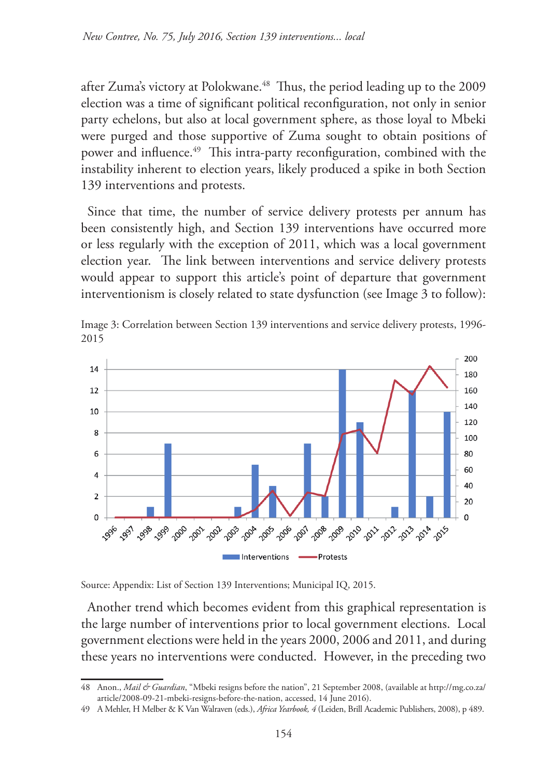after Zuma's victory at Polokwane.<sup>48</sup> Thus, the period leading up to the 2009 election was a time of significant political reconfiguration, not only in senior party echelons, but also at local government sphere, as those loyal to Mbeki were purged and those supportive of Zuma sought to obtain positions of power and influence.<sup>49</sup> This intra-party reconfiguration, combined with the instability inherent to election years, likely produced a spike in both Section 139 interventions and protests.

Since that time, the number of service delivery protests per annum has been consistently high, and Section 139 interventions have occurred more or less regularly with the exception of 2011, which was a local government election year. The link between interventions and service delivery protests would appear to support this article's point of departure that government interventionism is closely related to state dysfunction (see Image 3 to follow):



Image 3: Correlation between Section 139 interventions and service delivery protests, 1996- 2015

Source: Appendix: List of Section 139 Interventions; Municipal IQ, 2015.

Another trend which becomes evident from this graphical representation is the large number of interventions prior to local government elections. Local government elections were held in the years 2000, 2006 and 2011, and during these years no interventions were conducted. However, in the preceding two

<sup>48</sup> Anon., *Mail & Guardian*, "Mbeki resigns before the nation", 21 September 2008, (available at http://mg.co.za/ article/2008-09-21-mbeki-resigns-before-the-nation, accessed, 14 June 2016).

<sup>49</sup> A Mehler, H Melber & K Van Walraven (eds.), *Africa Yearbook, 4* (Leiden, Brill Academic Publishers, 2008), p 489.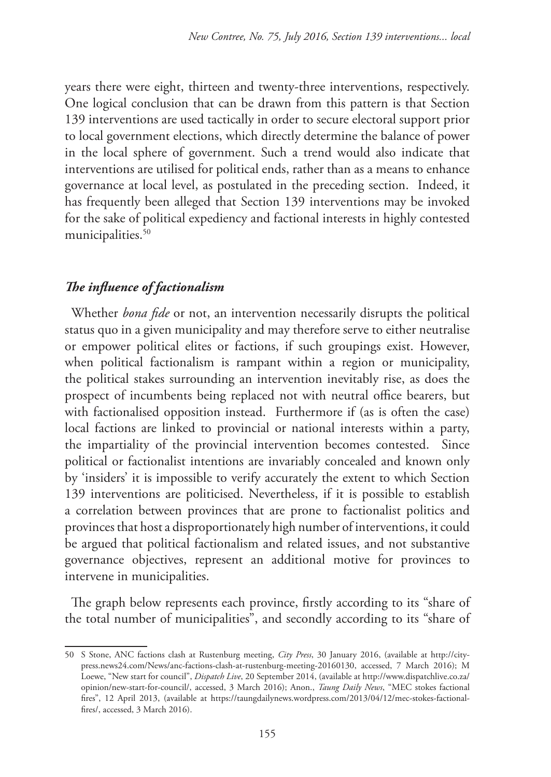years there were eight, thirteen and twenty-three interventions, respectively. One logical conclusion that can be drawn from this pattern is that Section 139 interventions are used tactically in order to secure electoral support prior to local government elections, which directly determine the balance of power in the local sphere of government. Such a trend would also indicate that interventions are utilised for political ends, rather than as a means to enhance governance at local level, as postulated in the preceding section. Indeed, it has frequently been alleged that Section 139 interventions may be invoked for the sake of political expediency and factional interests in highly contested municipalities.<sup>50</sup>

### *The influence of factionalism*

Whether *bona fide* or not, an intervention necessarily disrupts the political status quo in a given municipality and may therefore serve to either neutralise or empower political elites or factions, if such groupings exist. However, when political factionalism is rampant within a region or municipality, the political stakes surrounding an intervention inevitably rise, as does the prospect of incumbents being replaced not with neutral office bearers, but with factionalised opposition instead. Furthermore if (as is often the case) local factions are linked to provincial or national interests within a party, the impartiality of the provincial intervention becomes contested. Since political or factionalist intentions are invariably concealed and known only by 'insiders' it is impossible to verify accurately the extent to which Section 139 interventions are politicised. Nevertheless, if it is possible to establish a correlation between provinces that are prone to factionalist politics and provinces that host a disproportionately high number of interventions, it could be argued that political factionalism and related issues, and not substantive governance objectives, represent an additional motive for provinces to intervene in municipalities.

The graph below represents each province, firstly according to its "share of the total number of municipalities", and secondly according to its "share of

<sup>50</sup> S Stone, ANC factions clash at Rustenburg meeting, *City Press*, 30 January 2016, (available at http://citypress.news24.com/News/anc-factions-clash-at-rustenburg-meeting-20160130, accessed, 7 March 2016); M Loewe, "New start for council", *Dispatch Live*, 20 September 2014, (available at http://www.dispatchlive.co.za/ opinion/new-start-for-council/, accessed, 3 March 2016); Anon., *Taung Daily News*, "MEC stokes factional fires", 12 April 2013, (available at https://taungdailynews.wordpress.com/2013/04/12/mec-stokes-factionalfires/, accessed, 3 March 2016).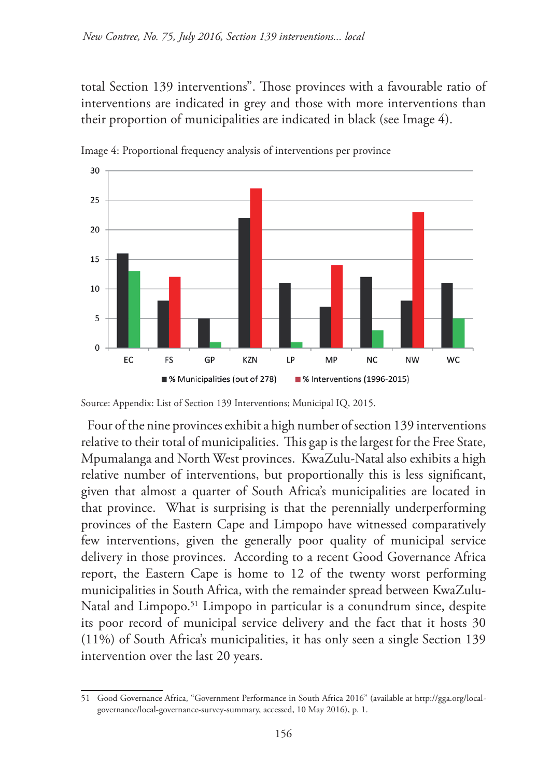total Section 139 interventions". Those provinces with a favourable ratio of interventions are indicated in grey and those with more interventions than their proportion of municipalities are indicated in black (see Image 4).



Image 4: Proportional frequency analysis of interventions per province

Four of the nine provinces exhibit a high number of section 139 interventions relative to their total of municipalities. This gap is the largest for the Free State, Mpumalanga and North West provinces. KwaZulu-Natal also exhibits a high relative number of interventions, but proportionally this is less significant, given that almost a quarter of South Africa's municipalities are located in that province. What is surprising is that the perennially underperforming provinces of the Eastern Cape and Limpopo have witnessed comparatively few interventions, given the generally poor quality of municipal service delivery in those provinces. According to a recent Good Governance Africa report, the Eastern Cape is home to 12 of the twenty worst performing municipalities in South Africa, with the remainder spread between KwaZulu-Natal and Limpopo.<sup>51</sup> Limpopo in particular is a conundrum since, despite its poor record of municipal service delivery and the fact that it hosts 30 (11%) of South Africa's municipalities, it has only seen a single Section 139 intervention over the last 20 years.

Source: Appendix: List of Section 139 Interventions; Municipal IQ, 2015.

<sup>51</sup> Good Governance Africa, "Government Performance in South Africa 2016" (available at http://gga.org/localgovernance/local-governance-survey-summary, accessed, 10 May 2016), p. 1.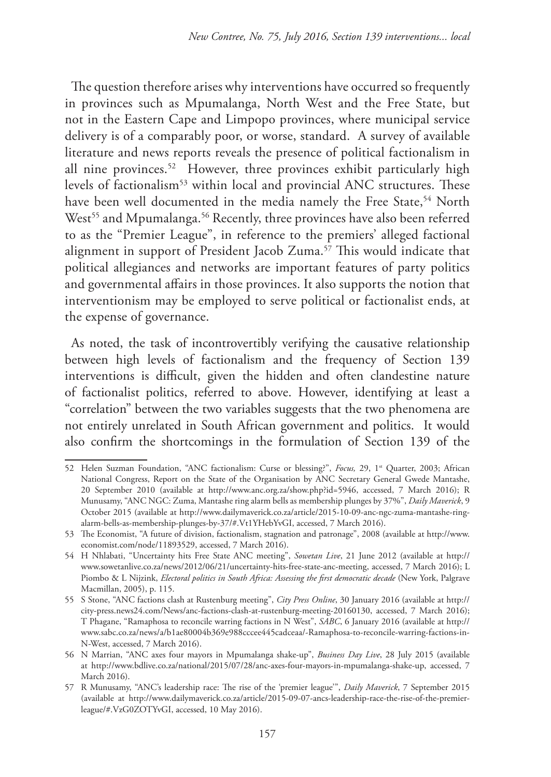The question therefore arises why interventions have occurred so frequently in provinces such as Mpumalanga, North West and the Free State, but not in the Eastern Cape and Limpopo provinces, where municipal service delivery is of a comparably poor, or worse, standard. A survey of available literature and news reports reveals the presence of political factionalism in all nine provinces.<sup>52</sup> However, three provinces exhibit particularly high levels of factionalism<sup>53</sup> within local and provincial ANC structures. These have been well documented in the media namely the Free State,<sup>54</sup> North West<sup>55</sup> and Mpumalanga.<sup>56</sup> Recently, three provinces have also been referred to as the "Premier League", in reference to the premiers' alleged factional alignment in support of President Jacob Zuma.57 This would indicate that political allegiances and networks are important features of party politics and governmental affairs in those provinces. It also supports the notion that interventionism may be employed to serve political or factionalist ends, at the expense of governance.

As noted, the task of incontrovertibly verifying the causative relationship between high levels of factionalism and the frequency of Section 139 interventions is difficult, given the hidden and often clandestine nature of factionalist politics, referred to above. However, identifying at least a "correlation" between the two variables suggests that the two phenomena are not entirely unrelated in South African government and politics. It would also confirm the shortcomings in the formulation of Section 139 of the

<sup>52</sup> Helen Suzman Foundation, "ANC factionalism: Curse or blessing?", *Focus*, 29, 1<sup>st</sup> Quarter, 2003; African National Congress, Report on the State of the Organisation by ANC Secretary General Gwede Mantashe, 20 September 2010 (available at http://www.anc.org.za/show.php?id=5946, accessed, 7 March 2016); R Munusamy, "ANC NGC: Zuma, Mantashe ring alarm bells as membership plunges by 37%", *Daily Maverick*, 9 October 2015 (available at http://www.dailymaverick.co.za/article/2015-10-09-anc-ngc-zuma-mantashe-ringalarm-bells-as-membership-plunges-by-37/#.Vt1YHebYvGI, accessed, 7 March 2016).

<sup>53</sup> The Economist, "A future of division, factionalism, stagnation and patronage", 2008 (available at http://www. economist.com/node/11893529, accessed, 7 March 2016).

<sup>54</sup> H Nhlabati, "Uncertainty hits Free State ANC meeting", *Sowetan Live*, 21 June 2012 (available at http:// www.sowetanlive.co.za/news/2012/06/21/uncertainty-hits-free-state-anc-meeting, accessed, 7 March 2016); L Piombo & L Nijzink, *Electoral politics in South Africa: Assessing the first democratic decade* (New York, Palgrave Macmillan, 2005), p. 115.

<sup>55</sup> S Stone, "ANC factions clash at Rustenburg meeting", *City Press Online*, 30 January 2016 (available at http:// city-press.news24.com/News/anc-factions-clash-at-rustenburg-meeting-20160130, accessed, 7 March 2016); T Phagane, "Ramaphosa to reconcile warring factions in N West", *SABC*, 6 January 2016 (available at http:// www.sabc.co.za/news/a/b1ae80004b369e988cccee445cadceaa/-Ramaphosa-to-reconcile-warring-factions-in-N-West, accessed, 7 March 2016).

<sup>56</sup> N Marrian, "ANC axes four mayors in Mpumalanga shake-up", *Business Day Live*, 28 July 2015 (available at http://www.bdlive.co.za/national/2015/07/28/anc-axes-four-mayors-in-mpumalanga-shake-up, accessed, 7 March 2016).

<sup>57</sup> R Munusamy, "ANC's leadership race: The rise of the 'premier league'", *Daily Maverick*, 7 September 2015 (available at http://www.dailymaverick.co.za/article/2015-09-07-ancs-leadership-race-the-rise-of-the-premierleague/#.VzG0ZOTYvGI, accessed, 10 May 2016).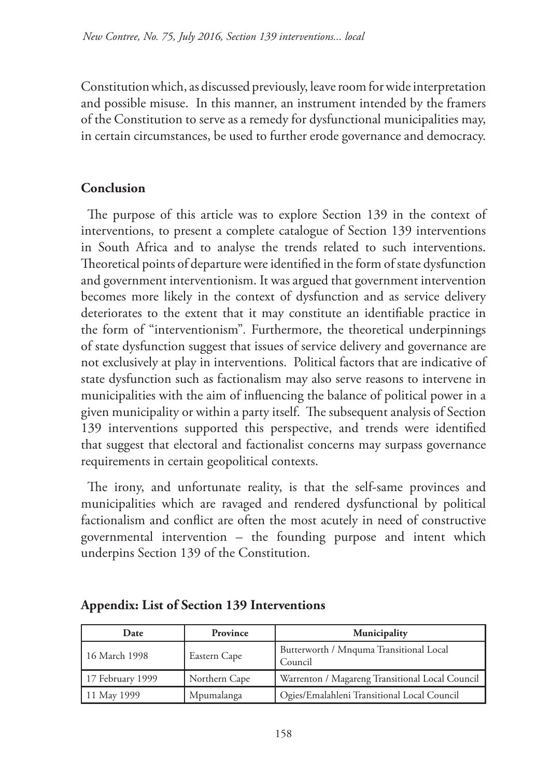Constitution which, as discussed previously, leave room for wide interpretation and possible misuse. In this manner, an instrument intended by the framers of the Constitution to serve as a remedy for dysfunctional municipalities may, in certain circumstances, be used to further erode governance and democracy.

# **Conclusion**

The purpose of this article was to explore Section 139 in the context of interventions, to present a complete catalogue of Section 139 interventions in South Africa and to analyse the trends related to such interventions. Theoretical points of departure were identified in the form of state dysfunction and government interventionism. It was argued that government intervention becomes more likely in the context of dysfunction and as service delivery deteriorates to the extent that it may constitute an identifiable practice in the form of "interventionism"*.* Furthermore, the theoretical underpinnings of state dysfunction suggest that issues of service delivery and governance are not exclusively at play in interventions. Political factors that are indicative of state dysfunction such as factionalism may also serve reasons to intervene in municipalities with the aim of influencing the balance of political power in a given municipality or within a party itself. The subsequent analysis of Section 139 interventions supported this perspective, and trends were identified that suggest that electoral and factionalist concerns may surpass governance requirements in certain geopolitical contexts.

The irony, and unfortunate reality, is that the self-same provinces and municipalities which are ravaged and rendered dysfunctional by political factionalism and conflict are often the most acutely in need of constructive governmental intervention – the founding purpose and intent which underpins Section 139 of the Constitution.

| Date             | Province      | Municipality                                       |
|------------------|---------------|----------------------------------------------------|
| 16 March 1998    | Eastern Cape  | Butterworth / Mnquma Transitional Local<br>Council |
| 17 February 1999 | Northern Cape | Warrenton / Magareng Transitional Local Council    |
| 11 May 1999      | Mpumalanga    | Ogies/Emalahleni Transitional Local Council        |

### **Appendix: List of Section 139 Interventions**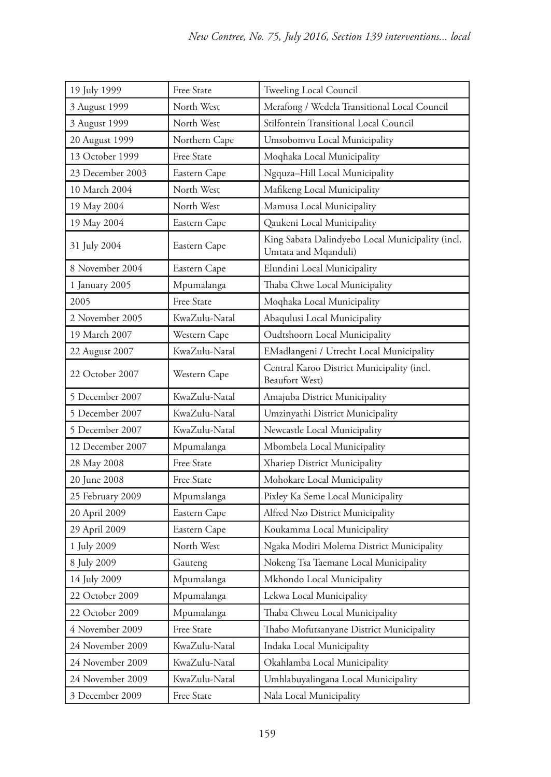| 19 July 1999     | Free State    | Tweeling Local Council                                                   |  |
|------------------|---------------|--------------------------------------------------------------------------|--|
| 3 August 1999    | North West    | Merafong / Wedela Transitional Local Council                             |  |
| 3 August 1999    | North West    | Stilfontein Transitional Local Council                                   |  |
| 20 August 1999   | Northern Cape | Umsobomvu Local Municipality                                             |  |
| 13 October 1999  | Free State    | Moqhaka Local Municipality                                               |  |
| 23 December 2003 | Eastern Cape  | Ngquza-Hill Local Municipality                                           |  |
| 10 March 2004    | North West    | Mafikeng Local Municipality                                              |  |
| 19 May 2004      | North West    | Mamusa Local Municipality                                                |  |
| 19 May 2004      | Eastern Cape  | Qaukeni Local Municipality                                               |  |
| 31 July 2004     | Eastern Cape  | King Sabata Dalindyebo Local Municipality (incl.<br>Umtata and Mqanduli) |  |
| 8 November 2004  | Eastern Cape  | Elundini Local Municipality                                              |  |
| 1 January 2005   | Mpumalanga    | Thaba Chwe Local Municipality                                            |  |
| 2005             | Free State    | Moqhaka Local Municipality                                               |  |
| 2 November 2005  | KwaZulu-Natal | Abaqulusi Local Municipality                                             |  |
| 19 March 2007    | Western Cape  | Oudtshoorn Local Municipality                                            |  |
| 22 August 2007   | KwaZulu-Natal | EMadlangeni / Utrecht Local Municipality                                 |  |
| 22 October 2007  | Western Cape  | Central Karoo District Municipality (incl.<br>Beaufort West)             |  |
| 5 December 2007  | KwaZulu-Natal | Amajuba District Municipality                                            |  |
| 5 December 2007  | KwaZulu-Natal | Umzinyathi District Municipality                                         |  |
| 5 December 2007  | KwaZulu-Natal | Newcastle Local Municipality                                             |  |
| 12 December 2007 | Mpumalanga    | Mbombela Local Municipality                                              |  |
| 28 May 2008      | Free State    | Xhariep District Municipality                                            |  |
| 20 June 2008     | Free State    | Mohokare Local Municipality                                              |  |
| 25 February 2009 | Mpumalanga    | Pixley Ka Seme Local Municipality                                        |  |
| 20 April 2009    | Eastern Cape  | Alfred Nzo District Municipality                                         |  |
| 29 April 2009    | Eastern Cape  | Koukamma Local Municipality                                              |  |
| 1 July 2009      | North West    | Ngaka Modiri Molema District Municipality                                |  |
| 8 July 2009      | Gauteng       | Nokeng Tsa Taemane Local Municipality                                    |  |
| 14 July 2009     | Mpumalanga    | Mkhondo Local Municipality                                               |  |
| 22 October 2009  | Mpumalanga    | Lekwa Local Municipality                                                 |  |
| 22 October 2009  | Mpumalanga    | Thaba Chweu Local Municipality                                           |  |
| 4 November 2009  | Free State    | Thabo Mofutsanyane District Municipality                                 |  |
| 24 November 2009 | KwaZulu-Natal | Indaka Local Municipality                                                |  |
| 24 November 2009 | KwaZulu-Natal | Okahlamba Local Municipality                                             |  |
| 24 November 2009 | KwaZulu-Natal | Umhlabuyalingana Local Municipality                                      |  |
| 3 December 2009  | Free State    | Nala Local Municipality                                                  |  |